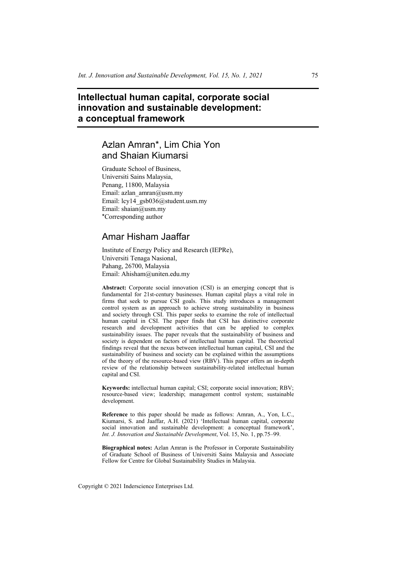# **Intellectual human capital, corporate social innovation and sustainable development: a conceptual framework**

# Azlan Amran\*, Lim Chia Yon and Shaian Kiumarsi

Graduate School of Business, Universiti Sains Malaysia, Penang, 11800, Malaysia Email: azlan\_amran@usm.my Email: lcy14\_gsb036@student.usm.my Email: shaian@usm.my \*Corresponding author

# Amar Hisham Jaaffar

Institute of Energy Policy and Research (IEPRe), Universiti Tenaga Nasional, Pahang, 26700, Malaysia Email: Ahisham@uniten.edu.my

**Abstract:** Corporate social innovation (CSI) is an emerging concept that is fundamental for 21st-century businesses. Human capital plays a vital role in firms that seek to pursue CSI goals. This study introduces a management control system as an approach to achieve strong sustainability in business and society through CSI. This paper seeks to examine the role of intellectual human capital in CSI. The paper finds that CSI has distinctive corporate research and development activities that can be applied to complex sustainability issues. The paper reveals that the sustainability of business and society is dependent on factors of intellectual human capital. The theoretical findings reveal that the nexus between intellectual human capital, CSI and the sustainability of business and society can be explained within the assumptions of the theory of the resource-based view (RBV). This paper offers an in-depth review of the relationship between sustainability-related intellectual human capital and CSI.

**Keywords:** intellectual human capital; CSI; corporate social innovation; RBV; resource-based view; leadership; management control system; sustainable development.

**Reference** to this paper should be made as follows: Amran, A., Yon, L.C., Kiumarsi, S. and Jaaffar, A.H. (2021) 'Intellectual human capital, corporate social innovation and sustainable development: a conceptual framework', *Int. J. Innovation and Sustainable Development*, Vol. 15, No. 1, pp.75–99.

**Biographical notes:** Azlan Amran is the Professor in Corporate Sustainability of Graduate School of Business of Universiti Sains Malaysia and Associate Fellow for Centre for Global Sustainability Studies in Malaysia.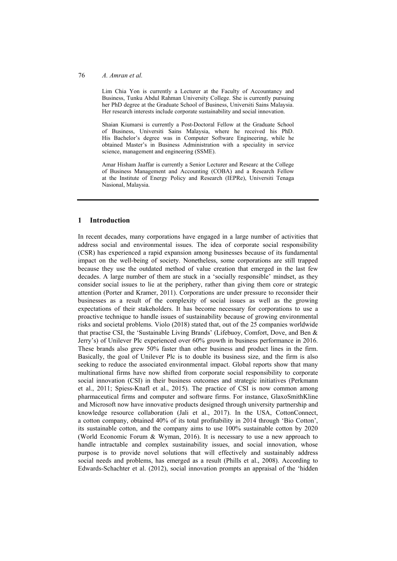#### 76 *A. Amran et al.*

Lim Chia Yon is currently a Lecturer at the Faculty of Accountancy and Business, Tunku Abdul Rahman University College. She is currently pursuing her PhD degree at the Graduate School of Business, Universiti Sains Malaysia. Her research interests include corporate sustainability and social innovation.

Shaian Kiumarsi is currently a Post-Doctoral Fellow at the Graduate School of Business, Universiti Sains Malaysia, where he received his PhD. His Bachelor's degree was in Computer Software Engineering, while he obtained Master's in Business Administration with a speciality in service science, management and engineering (SSME).

Amar Hisham Jaaffar is currently a Senior Lecturer and Researc at the College of Business Management and Accounting (COBA) and a Research Fellow at the Institute of Energy Policy and Research (IEPRe), Universiti Tenaga Nasional, Malaysia.

### **1 Introduction**

In recent decades, many corporations have engaged in a large number of activities that address social and environmental issues. The idea of corporate social responsibility (CSR) has experienced a rapid expansion among businesses because of its fundamental impact on the well-being of society. Nonetheless, some corporations are still trapped because they use the outdated method of value creation that emerged in the last few decades. A large number of them are stuck in a 'socially responsible' mindset, as they consider social issues to lie at the periphery, rather than giving them core or strategic attention (Porter and Kramer, 2011). Corporations are under pressure to reconsider their businesses as a result of the complexity of social issues as well as the growing expectations of their stakeholders. It has become necessary for corporations to use a proactive technique to handle issues of sustainability because of growing environmental risks and societal problems. Violo (2018) stated that, out of the 25 companies worldwide that practise CSI, the 'Sustainable Living Brands' (Lifebuoy, Comfort, Dove, and Ben & Jerry's) of Unilever Plc experienced over 60% growth in business performance in 2016. These brands also grew 50% faster than other business and product lines in the firm. Basically, the goal of Unilever Plc is to double its business size, and the firm is also seeking to reduce the associated environmental impact. Global reports show that many multinational firms have now shifted from corporate social responsibility to corporate social innovation (CSI) in their business outcomes and strategic initiatives (Perkmann et al., 2011; Spiess-Knafl et al., 2015). The practice of CSI is now common among pharmaceutical firms and computer and software firms. For instance, GlaxoSmithKline and Microsoft now have innovative products designed through university partnership and knowledge resource collaboration (Jali et al., 2017). In the USA, CottonConnect, a cotton company, obtained 40% of its total profitability in 2014 through 'Bio Cotton', its sustainable cotton, and the company aims to use 100% sustainable cotton by 2020 (World Economic Forum & Wyman, 2016). It is necessary to use a new approach to handle intractable and complex sustainability issues, and social innovation, whose purpose is to provide novel solutions that will effectively and sustainably address social needs and problems, has emerged as a result (Phills et al., 2008). According to Edwards-Schachter et al. (2012), social innovation prompts an appraisal of the 'hidden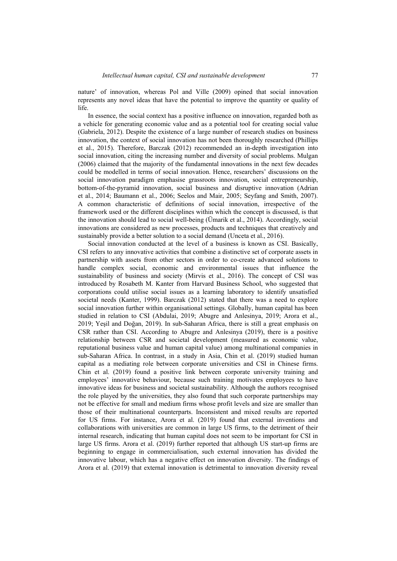nature' of innovation, whereas Pol and Ville (2009) opined that social innovation represents any novel ideas that have the potential to improve the quantity or quality of life.

In essence, the social context has a positive influence on innovation, regarded both as a vehicle for generating economic value and as a potential tool for creating social value (Gabriela, 2012). Despite the existence of a large number of research studies on business innovation, the context of social innovation has not been thoroughly researched (Phillips et al., 2015). Therefore, Barczak (2012) recommended an in-depth investigation into social innovation, citing the increasing number and diversity of social problems. Mulgan (2006) claimed that the majority of the fundamental innovations in the next few decades could be modelled in terms of social innovation. Hence, researchers' discussions on the social innovation paradigm emphasise grassroots innovation, social entrepreneurship, bottom-of-the-pyramid innovation, social business and disruptive innovation (Adrian et al., 2014; Baumann et al., 2006; Seelos and Mair, 2005; Seyfang and Smith, 2007). A common characteristic of definitions of social innovation, irrespective of the framework used or the different disciplines within which the concept is discussed, is that the innovation should lead to social well-being (Ümarik et al., 2014). Accordingly, social innovations are considered as new processes, products and techniques that creatively and sustainably provide a better solution to a social demand (Unceta et al., 2016).

Social innovation conducted at the level of a business is known as CSI. Basically, CSI refers to any innovative activities that combine a distinctive set of corporate assets in partnership with assets from other sectors in order to co-create advanced solutions to handle complex social, economic and environmental issues that influence the sustainability of business and society (Mirvis et al., 2016). The concept of CSI was introduced by Rosabeth M. Kanter from Harvard Business School, who suggested that corporations could utilise social issues as a learning laboratory to identify unsatisfied societal needs (Kanter, 1999). Barczak (2012) stated that there was a need to explore social innovation further within organisational settings. Globally, human capital has been studied in relation to CSI (Abdulai, 2019; Abugre and Anlesinya, 2019; Arora et al., 2019; Yeşil and Doğan, 2019). In sub-Saharan Africa, there is still a great emphasis on CSR rather than CSI. According to Abugre and Anlesinya (2019), there is a positive relationship between CSR and societal development (measured as economic value, reputational business value and human capital value) among multinational companies in sub-Saharan Africa. In contrast, in a study in Asia, Chin et al. (2019) studied human capital as a mediating role between corporate universities and CSI in Chinese firms. Chin et al. (2019) found a positive link between corporate university training and employees' innovative behaviour, because such training motivates employees to have innovative ideas for business and societal sustainability. Although the authors recognised the role played by the universities, they also found that such corporate partnerships may not be effective for small and medium firms whose profit levels and size are smaller than those of their multinational counterparts. Inconsistent and mixed results are reported for US firms. For instance, Arora et al. (2019) found that external inventions and collaborations with universities are common in large US firms, to the detriment of their internal research, indicating that human capital does not seem to be important for CSI in large US firms. Arora et al. (2019) further reported that although US start-up firms are beginning to engage in commercialisation, such external innovation has divided the innovative labour, which has a negative effect on innovation diversity. The findings of Arora et al. (2019) that external innovation is detrimental to innovation diversity reveal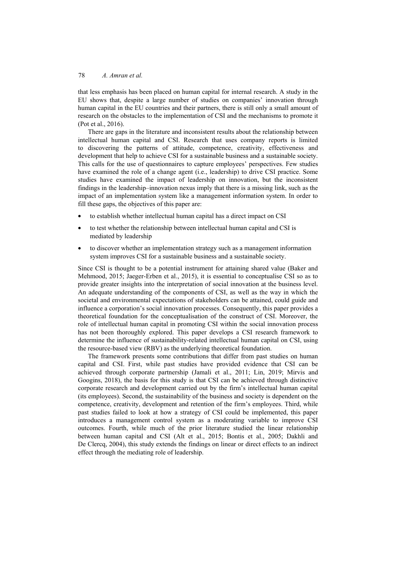that less emphasis has been placed on human capital for internal research. A study in the EU shows that, despite a large number of studies on companies' innovation through human capital in the EU countries and their partners, there is still only a small amount of research on the obstacles to the implementation of CSI and the mechanisms to promote it (Pot et al., 2016).

There are gaps in the literature and inconsistent results about the relationship between intellectual human capital and CSI. Research that uses company reports is limited to discovering the patterns of attitude, competence, creativity, effectiveness and development that help to achieve CSI for a sustainable business and a sustainable society. This calls for the use of questionnaires to capture employees' perspectives. Few studies have examined the role of a change agent (i.e., leadership) to drive CSI practice. Some studies have examined the impact of leadership on innovation, but the inconsistent findings in the leadership–innovation nexus imply that there is a missing link, such as the impact of an implementation system like a management information system. In order to fill these gaps, the objectives of this paper are:

- to establish whether intellectual human capital has a direct impact on CSI
- to test whether the relationship between intellectual human capital and CSI is mediated by leadership
- to discover whether an implementation strategy such as a management information system improves CSI for a sustainable business and a sustainable society.

Since CSI is thought to be a potential instrument for attaining shared value (Baker and Mehmood, 2015; Jaeger-Erben et al., 2015), it is essential to conceptualise CSI so as to provide greater insights into the interpretation of social innovation at the business level. An adequate understanding of the components of CSI, as well as the way in which the societal and environmental expectations of stakeholders can be attained, could guide and influence a corporation's social innovation processes. Consequently, this paper provides a theoretical foundation for the conceptualisation of the construct of CSI. Moreover, the role of intellectual human capital in promoting CSI within the social innovation process has not been thoroughly explored. This paper develops a CSI research framework to determine the influence of sustainability-related intellectual human capital on CSI, using the resource-based view (RBV) as the underlying theoretical foundation.

The framework presents some contributions that differ from past studies on human capital and CSI. First, while past studies have provided evidence that CSI can be achieved through corporate partnership (Jamali et al., 2011; Lin, 2019; Mirvis and Googins, 2018), the basis for this study is that CSI can be achieved through distinctive corporate research and development carried out by the firm's intellectual human capital (its employees). Second, the sustainability of the business and society is dependent on the competence, creativity, development and retention of the firm's employees. Third, while past studies failed to look at how a strategy of CSI could be implemented, this paper introduces a management control system as a moderating variable to improve CSI outcomes. Fourth, while much of the prior literature studied the linear relationship between human capital and CSI (Alt et al., 2015; Bontis et al., 2005; Dakhli and De Clercq, 2004), this study extends the findings on linear or direct effects to an indirect effect through the mediating role of leadership.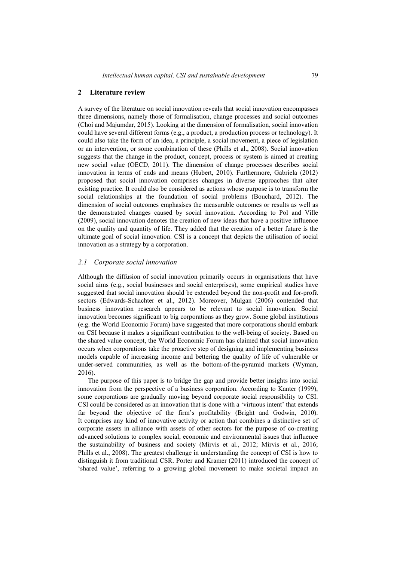### **2 Literature review**

A survey of the literature on social innovation reveals that social innovation encompasses three dimensions, namely those of formalisation, change processes and social outcomes (Choi and Majumdar, 2015). Looking at the dimension of formalisation, social innovation could have several different forms (e.g., a product, a production process or technology). It could also take the form of an idea, a principle, a social movement, a piece of legislation or an intervention, or some combination of these (Phills et al., 2008). Social innovation suggests that the change in the product, concept, process or system is aimed at creating new social value (OECD, 2011). The dimension of change processes describes social innovation in terms of ends and means (Hubert, 2010). Furthermore, Gabriela (2012) proposed that social innovation comprises changes in diverse approaches that alter existing practice. It could also be considered as actions whose purpose is to transform the social relationships at the foundation of social problems (Bouchard, 2012). The dimension of social outcomes emphasises the measurable outcomes or results as well as the demonstrated changes caused by social innovation. According to Pol and Ville (2009), social innovation denotes the creation of new ideas that have a positive influence on the quality and quantity of life. They added that the creation of a better future is the ultimate goal of social innovation. CSI is a concept that depicts the utilisation of social innovation as a strategy by a corporation.

## *2.1 Corporate social innovation*

Although the diffusion of social innovation primarily occurs in organisations that have social aims (e.g., social businesses and social enterprises), some empirical studies have suggested that social innovation should be extended beyond the non-profit and for-profit sectors (Edwards-Schachter et al., 2012). Moreover, Mulgan (2006) contended that business innovation research appears to be relevant to social innovation. Social innovation becomes significant to big corporations as they grow. Some global institutions (e.g. the World Economic Forum) have suggested that more corporations should embark on CSI because it makes a significant contribution to the well-being of society. Based on the shared value concept, the World Economic Forum has claimed that social innovation occurs when corporations take the proactive step of designing and implementing business models capable of increasing income and bettering the quality of life of vulnerable or under-served communities, as well as the bottom-of-the-pyramid markets (Wyman, 2016).

The purpose of this paper is to bridge the gap and provide better insights into social innovation from the perspective of a business corporation. According to Kanter (1999), some corporations are gradually moving beyond corporate social responsibility to CSI. CSI could be considered as an innovation that is done with a 'virtuous intent' that extends far beyond the objective of the firm's profitability (Bright and Godwin, 2010). It comprises any kind of innovative activity or action that combines a distinctive set of corporate assets in alliance with assets of other sectors for the purpose of co-creating advanced solutions to complex social, economic and environmental issues that influence the sustainability of business and society (Mirvis et al., 2012; Mirvis et al., 2016; Phills et al., 2008). The greatest challenge in understanding the concept of CSI is how to distinguish it from traditional CSR. Porter and Kramer (2011) introduced the concept of 'shared value', referring to a growing global movement to make societal impact an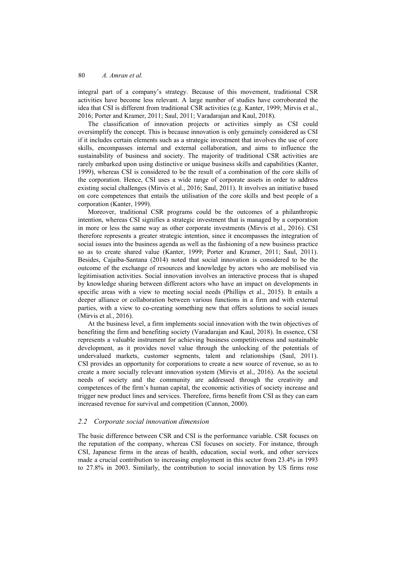integral part of a company's strategy. Because of this movement, traditional CSR activities have become less relevant. A large number of studies have corroborated the idea that CSI is different from traditional CSR activities (e.g. Kanter, 1999; Mirvis et al., 2016; Porter and Kramer, 2011; Saul, 2011; Varadarajan and Kaul, 2018).

The classification of innovation projects or activities simply as CSI could oversimplify the concept. This is because innovation is only genuinely considered as CSI if it includes certain elements such as a strategic investment that involves the use of core skills, encompasses internal and external collaboration, and aims to influence the sustainability of business and society. The majority of traditional CSR activities are rarely embarked upon using distinctive or unique business skills and capabilities (Kanter, 1999), whereas CSI is considered to be the result of a combination of the core skills of the corporation. Hence, CSI uses a wide range of corporate assets in order to address existing social challenges (Mirvis et al., 2016; Saul, 2011). It involves an initiative based on core competences that entails the utilisation of the core skills and best people of a corporation (Kanter, 1999).

Moreover, traditional CSR programs could be the outcomes of a philanthropic intention, whereas CSI signifies a strategic investment that is managed by a corporation in more or less the same way as other corporate investments (Mirvis et al., 2016). CSI therefore represents a greater strategic intention, since it encompasses the integration of social issues into the business agenda as well as the fashioning of a new business practice so as to create shared value (Kanter, 1999; Porter and Kramer, 2011; Saul, 2011). Besides, Cajaiba-Santana (2014) noted that social innovation is considered to be the outcome of the exchange of resources and knowledge by actors who are mobilised via legitimisation activities. Social innovation involves an interactive process that is shaped by knowledge sharing between different actors who have an impact on developments in specific areas with a view to meeting social needs (Phillips et al., 2015). It entails a deeper alliance or collaboration between various functions in a firm and with external parties, with a view to co-creating something new that offers solutions to social issues (Mirvis et al., 2016).

At the business level, a firm implements social innovation with the twin objectives of benefiting the firm and benefiting society (Varadarajan and Kaul, 2018). In essence, CSI represents a valuable instrument for achieving business competitiveness and sustainable development, as it provides novel value through the unlocking of the potentials of undervalued markets, customer segments, talent and relationships (Saul, 2011). CSI provides an opportunity for corporations to create a new source of revenue, so as to create a more socially relevant innovation system (Mirvis et al., 2016). As the societal needs of society and the community are addressed through the creativity and competences of the firm's human capital, the economic activities of society increase and trigger new product lines and services. Therefore, firms benefit from CSI as they can earn increased revenue for survival and competition (Cannon, 2000).

## *2.2 Corporate social innovation dimension*

The basic difference between CSR and CSI is the performance variable. CSR focuses on the reputation of the company, whereas CSI focuses on society. For instance, through CSI, Japanese firms in the areas of health, education, social work, and other services made a crucial contribution to increasing employment in this sector from 23.4% in 1993 to 27.8% in 2003. Similarly, the contribution to social innovation by US firms rose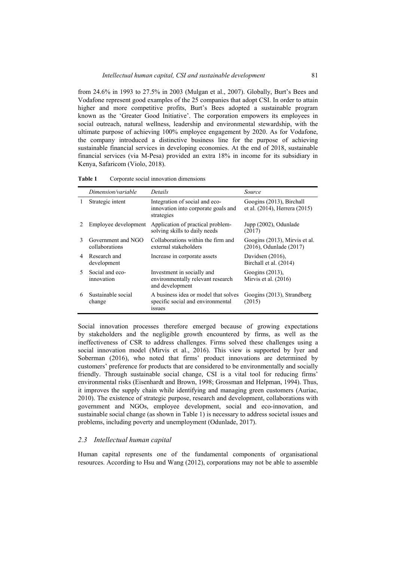from 24.6% in 1993 to 27.5% in 2003 (Mulgan et al., 2007). Globally, Burt's Bees and Vodafone represent good examples of the 25 companies that adopt CSI. In order to attain higher and more competitive profits, Burt's Bees adopted a sustainable program known as the 'Greater Good Initiative'. The corporation empowers its employees in social outreach, natural wellness, leadership and environmental stewardship, with the ultimate purpose of achieving 100% employee engagement by 2020. As for Vodafone, the company introduced a distinctive business line for the purpose of achieving sustainable financial services in developing economies. At the end of 2018, sustainable financial services (via M-Pesa) provided an extra 18% in income for its subsidiary in Kenya, Safaricom (Violo, 2018).

|              | Dimension/variable                   | Details                                                                                   | Source                                                        |
|--------------|--------------------------------------|-------------------------------------------------------------------------------------------|---------------------------------------------------------------|
| 1            | Strategic intent                     | Integration of social and eco-<br>innovation into corporate goals and<br>strategies       | Googins (2013), Birchall<br>et al. (2014), Herrera (2015)     |
|              | Employee development                 | Application of practical problem-<br>solving skills to daily needs                        | Jupp (2002), Odunlade<br>(2017)                               |
| $\mathbf{3}$ | Government and NGO<br>collaborations | Collaborations within the firm and<br>external stakeholders                               | Googins (2013), Mirvis et al.<br>$(2016)$ , Odunlade $(2017)$ |
| 4            | Research and<br>development          | Increase in corporate assets                                                              | Davidsen $(2016)$ ,<br>Birchall et al. (2014)                 |
| 5.           | Social and eco-<br>innovation        | Investment in socially and<br>environmentally relevant research<br>and development        | Googins $(2013)$ ,<br>Mirvis et al. (2016)                    |
| 6            | Sustainable social<br>change         | A business idea or model that solves<br>specific social and environmental<br><i>ssues</i> | Googins (2013), Strandberg<br>(2015)                          |

**Table 1** Corporate social innovation dimensions

Social innovation processes therefore emerged because of growing expectations by stakeholders and the negligible growth encountered by firms, as well as the ineffectiveness of CSR to address challenges. Firms solved these challenges using a social innovation model (Mirvis et al., 2016). This view is supported by Iyer and Soberman (2016), who noted that firms' product innovations are determined by customers' preference for products that are considered to be environmentally and socially friendly. Through sustainable social change, CSI is a vital tool for reducing firms' environmental risks (Eisenhardt and Brown, 1998; Grossman and Helpman, 1994). Thus, it improves the supply chain while identifying and managing green customers (Auriac, 2010). The existence of strategic purpose, research and development, collaborations with government and NGOs, employee development, social and eco-innovation, and sustainable social change (as shown in Table 1) is necessary to address societal issues and problems, including poverty and unemployment (Odunlade, 2017).

### *2.3 Intellectual human capital*

Human capital represents one of the fundamental components of organisational resources. According to Hsu and Wang (2012), corporations may not be able to assemble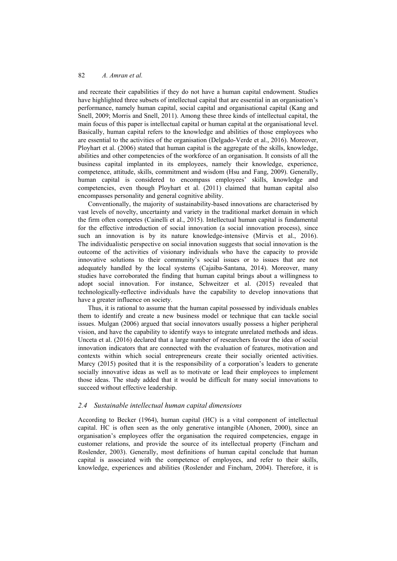and recreate their capabilities if they do not have a human capital endowment. Studies have highlighted three subsets of intellectual capital that are essential in an organisation's performance, namely human capital, social capital and organisational capital (Kang and Snell, 2009; Morris and Snell, 2011). Among these three kinds of intellectual capital, the main focus of this paper is intellectual capital or human capital at the organisational level. Basically, human capital refers to the knowledge and abilities of those employees who are essential to the activities of the organisation (Delgado-Verde et al., 2016). Moreover, Ployhart et al. (2006) stated that human capital is the aggregate of the skills, knowledge, abilities and other competencies of the workforce of an organisation. It consists of all the business capital implanted in its employees, namely their knowledge, experience, competence, attitude, skills, commitment and wisdom (Hsu and Fang, 2009). Generally, human capital is considered to encompass employees' skills, knowledge and competencies, even though Ployhart et al. (2011) claimed that human capital also encompasses personality and general cognitive ability.

Conventionally, the majority of sustainability-based innovations are characterised by vast levels of novelty, uncertainty and variety in the traditional market domain in which the firm often competes (Cainelli et al., 2015). Intellectual human capital is fundamental for the effective introduction of social innovation (a social innovation process), since such an innovation is by its nature knowledge-intensive (Mirvis et al., 2016). The individualistic perspective on social innovation suggests that social innovation is the outcome of the activities of visionary individuals who have the capacity to provide innovative solutions to their community's social issues or to issues that are not adequately handled by the local systems (Cajaiba-Santana, 2014). Moreover, many studies have corroborated the finding that human capital brings about a willingness to adopt social innovation. For instance, Schweitzer et al. (2015) revealed that technologically-reflective individuals have the capability to develop innovations that have a greater influence on society.

Thus, it is rational to assume that the human capital possessed by individuals enables them to identify and create a new business model or technique that can tackle social issues. Mulgan (2006) argued that social innovators usually possess a higher peripheral vision, and have the capability to identify ways to integrate unrelated methods and ideas. Unceta et al. (2016) declared that a large number of researchers favour the idea of social innovation indicators that are connected with the evaluation of features, motivation and contexts within which social entrepreneurs create their socially oriented activities. Marcy (2015) posited that it is the responsibility of a corporation's leaders to generate socially innovative ideas as well as to motivate or lead their employees to implement those ideas. The study added that it would be difficult for many social innovations to succeed without effective leadership.

## *2.4 Sustainable intellectual human capital dimensions*

According to Becker (1964), human capital (HC) is a vital component of intellectual capital. HC is often seen as the only generative intangible (Ahonen, 2000), since an organisation's employees offer the organisation the required competencies, engage in customer relations, and provide the source of its intellectual property (Fincham and Roslender, 2003). Generally, most definitions of human capital conclude that human capital is associated with the competence of employees, and refer to their skills, knowledge, experiences and abilities (Roslender and Fincham, 2004). Therefore, it is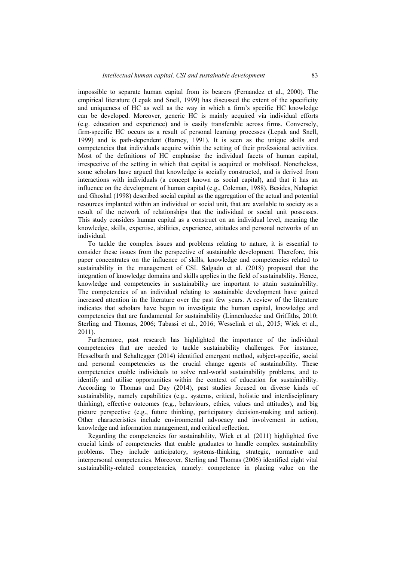impossible to separate human capital from its bearers (Fernandez et al., 2000). The empirical literature (Lepak and Snell, 1999) has discussed the extent of the specificity and uniqueness of HC as well as the way in which a firm's specific HC knowledge can be developed. Moreover, generic HC is mainly acquired via individual efforts (e.g. education and experience) and is easily transferable across firms. Conversely, firm-specific HC occurs as a result of personal learning processes (Lepak and Snell, 1999) and is path-dependent (Barney, 1991). It is seen as the unique skills and competencies that individuals acquire within the setting of their professional activities. Most of the definitions of HC emphasise the individual facets of human capital, irrespective of the setting in which that capital is acquired or mobilised. Nonetheless, some scholars have argued that knowledge is socially constructed, and is derived from interactions with individuals (a concept known as social capital), and that it has an influence on the development of human capital (e.g., Coleman, 1988). Besides, Nahapiet and Ghoshal (1998) described social capital as the aggregation of the actual and potential resources implanted within an individual or social unit, that are available to society as a result of the network of relationships that the individual or social unit possesses. This study considers human capital as a construct on an individual level, meaning the knowledge, skills, expertise, abilities, experience, attitudes and personal networks of an individual.

To tackle the complex issues and problems relating to nature, it is essential to consider these issues from the perspective of sustainable development. Therefore, this paper concentrates on the influence of skills, knowledge and competencies related to sustainability in the management of CSI. Salgado et al. (2018) proposed that the integration of knowledge domains and skills applies in the field of sustainability. Hence, knowledge and competencies in sustainability are important to attain sustainability. The competencies of an individual relating to sustainable development have gained increased attention in the literature over the past few years. A review of the literature indicates that scholars have begun to investigate the human capital, knowledge and competencies that are fundamental for sustainability (Linnenluecke and Griffiths, 2010; Sterling and Thomas, 2006; Tabassi et al., 2016; Wesselink et al., 2015; Wiek et al., 2011).

Furthermore, past research has highlighted the importance of the individual competencies that are needed to tackle sustainability challenges. For instance, Hesselbarth and Schaltegger (2014) identified emergent method, subject-specific, social and personal competencies as the crucial change agents of sustainability. These competencies enable individuals to solve real-world sustainability problems, and to identify and utilise opportunities within the context of education for sustainability. According to Thomas and Day (2014), past studies focused on diverse kinds of sustainability, namely capabilities (e.g., systems, critical, holistic and interdisciplinary thinking), effective outcomes (e.g., behaviours, ethics, values and attitudes), and big picture perspective (e.g., future thinking, participatory decision-making and action). Other characteristics include environmental advocacy and involvement in action, knowledge and information management, and critical reflection.

Regarding the competencies for sustainability, Wiek et al. (2011) highlighted five crucial kinds of competencies that enable graduates to handle complex sustainability problems. They include anticipatory, systems-thinking, strategic, normative and interpersonal competencies. Moreover, Sterling and Thomas (2006) identified eight vital sustainability-related competencies, namely: competence in placing value on the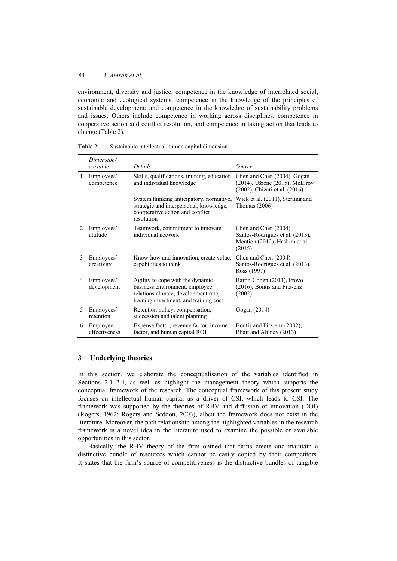environment, diversity and justice; competence in the knowledge of interrelated social, economic and ecological systems; competence in the knowledge of the principles of sustainable development; and competence in the knowledge of sustainability problems and issues. Others include competence in working across disciplines, competence in cooperative action and conflict resolution, and competence in taking action that leads to change (Table 2).

|              | Dimension/<br>variable    | Details                                                                                                                                              | Source                                                                                              |
|--------------|---------------------------|------------------------------------------------------------------------------------------------------------------------------------------------------|-----------------------------------------------------------------------------------------------------|
| $\mathbf{1}$ | Employees'<br>competence  | Skills, qualifications, training, education<br>and individual knowledge                                                                              | Chen and Chen (2004), Gogan<br>(2014), Užienė (2015), McElroy<br>(2002), Chizari et al. (2016)      |
|              |                           | System thinking anticipatory, normative,<br>strategic and interpersonal, knowledge,<br>coorperative action and conflict<br>resolution                | Wiek et al. (2011), Sterling and<br>Thomas $(2006)$                                                 |
| 2            | Employees'<br>attitude    | Teamwork, commitment to innovate,<br>individual network                                                                                              | Chen and Chen (2004),<br>Santos-Rodrigues et al. (2013),<br>Mention (2012), Hashim et al.<br>(2015) |
| 3            | Employees'<br>creativity  | Know-how and innovation, create value,<br>capabilities to think                                                                                      | Chen and Chen (2004),<br>Santos-Rodrigues et al. (2013),<br>Ross (1997)                             |
| 4            | Employees'<br>development | Agility to cope with the dynamic<br>business environment, employee<br>relations climate, development rate,<br>training investment, and training cost | Baron-Cohen (2011), Provo<br>$(2016)$ , Bontis and Fitz-enz<br>(2002)                               |
| 5            | Employees'<br>retention   | Retention policy, compensation,<br>succession and talent planning                                                                                    | Gogan (2014)                                                                                        |
| 6            | Employee<br>effectiveness | Expense factor, revenue factor, income<br>factor, and human capital ROI                                                                              | Bontis and Fitz-enz (2002),<br>Bhatt and Altinay (2013)                                             |

**Table 2** Sustainable intellectual human capital dimension

## **3 Underlying theories**

In this section, we elaborate the conceptualisation of the variables identified in Sections 2.1–2.4, as well as highlight the management theory which supports the conceptual framework of the research. The conceptual framework of this present study focuses on intellectual human capital as a driver of CSI, which leads to CSI. The framework was supported by the theories of RBV and diffusion of innovation (DOI) (Rogers, 1962; Rogers and Seddon, 2003), albeit the framework does not exist in the literature. Moreover, the path relationship among the highlighted variables in the research framework is a novel idea in the literature used to examine the possible or available opportunities in this sector.

Basically, the RBV theory of the firm opined that firms create and maintain a distinctive bundle of resources which cannot be easily copied by their competitors. It states that the firm's source of competitiveness is the distinctive bundles of tangible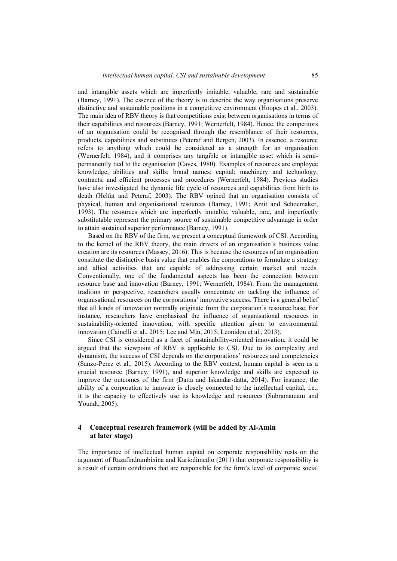and intangible assets which are imperfectly imitable, valuable, rare and sustainable (Barney, 1991). The essence of the theory is to describe the way organisations preserve distinctive and sustainable positions in a competitive environment (Hoopes et al., 2003). The main idea of RBV theory is that competitions exist between organisations in terms of their capabilities and resources (Barney, 1991; Wernerfelt, 1984). Hence, the competitors of an organisation could be recognised through the resemblance of their resources, products, capabilities and substitutes (Peteraf and Bergen, 2003). In essence, a resource refers to anything which could be considered as a strength for an organisation (Wernerfelt, 1984), and it comprises any tangible or intangible asset which is semipermanently tied to the organisation (Caves, 1980). Examples of resources are employee knowledge, abilities and skills; brand names; capital; machinery and technology; contracts; and efficient processes and procedures (Wernerfelt, 1984). Previous studies have also investigated the dynamic life cycle of resources and capabilities from birth to death (Helfat and Peteraf, 2003). The RBV opined that an organisation consists of physical, human and organisational resources (Barney, 1991; Amit and Schoemaker, 1993). The resources which are imperfectly imitable, valuable, rare, and imperfectly substitutable represent the primary source of sustainable competitive advantage in order to attain sustained superior performance (Barney, 1991).

Based on the RBV of the firm, we present a conceptual framework of CSI. According to the kernel of the RBV theory, the main drivers of an organisation's business value creation are its resources (Massey, 2016). This is because the resources of an organisation constitute the distinctive basis value that enables the corporations to formulate a strategy and allied activities that are capable of addressing certain market and needs. Conventionally, one of the fundamental aspects has been the connection between resource base and innovation (Barney, 1991; Wernerfelt, 1984). From the management tradition or perspective, researchers usually concentrate on tackling the influence of organisational resources on the corporations' innovative success. There is a general belief that all kinds of innovation normally originate from the corporation's resource base. For instance, researchers have emphasised the influence of organisational resources in sustainability-oriented innovation, with specific attention given to environmental innovation (Cainelli et al., 2015; Lee and Min, 2015; Leonidou et al., 2013).

Since CSI is considered as a facet of sustainability-oriented innovation, it could be argued that the viewpoint of RBV is applicable to CSI. Due to its complexity and dynamism, the success of CSI depends on the corporations' resources and competencies (Sanzo-Perez et al., 2015). According to the RBV context, human capital is seen as a crucial resource (Barney, 1991), and superior knowledge and skills are expected to improve the outcomes of the firm (Datta and Iskandar-datta, 2014). For instance, the ability of a corporation to innovate is closely connected to the intellectual capital, i.e., it is the capacity to effectively use its knowledge and resources (Subramaniam and Youndt, 2005).

## **4 Conceptual research framework (will be added by Al-Amin at later stage)**

The importance of intellectual human capital on corporate responsibility rests on the argument of Razafindrambinina and Kariodimedjo (2011) that corporate responsibility is a result of certain conditions that are responsible for the firm's level of corporate social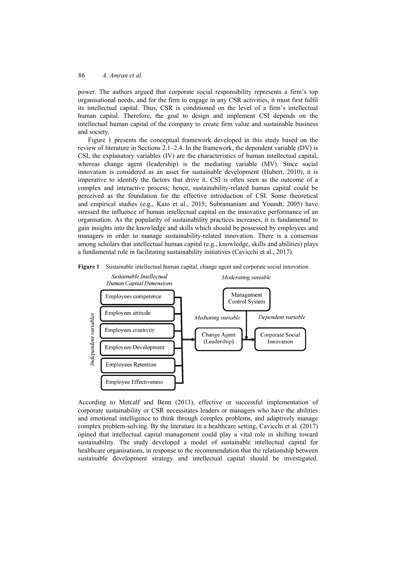power. The authors argued that corporate social responsibility represents a firm's top organisational needs, and for the firm to engage in any CSR activities, it must first fulfil its intellectual capital. Thus, CSR is conditioned on the level of a firm's intellectual human capital. Therefore, the goal to design and implement CSI depends on the intellectual human capital of the company to create firm value and sustainable business and society.

Figure 1 presents the conceptual framework developed in this study based on the review of literature in Sections 2.1–2.4. In the framework, the dependent variable (DV) is CSI, the explanatory variables (IV) are the characteristics of human intellectual capital, whereas change agent (leadership) is the mediating variable (MV). Since social innovation is considered as an asset for sustainable development (Hubert, 2010), it is imperative to identify the factors that drive it. CSI is often seen as the outcome of a complex and interactive process; hence, sustainability-related human capital could be perceived as the foundation for the effective introduction of CSI. Some theoretical and empirical studies (e.g., Kato et al., 2015; Subramaniam and Youndt, 2005) have stressed the influence of human intellectual capital on the innovative performance of an organisation. As the popularity of sustainability practices increases, it is fundamental to gain insights into the knowledge and skills which should be possessed by employees and managers in order to manage sustainability-related innovation. There is a consensus among scholars that intellectual human capital (e.g., knowledge, skills and abilities) plays a fundamental role in facilitating sustainability initiatives (Cavicchi et al., 2017).



**Figure 1** Sustainable intellectual human capital, change agent and corporate social innovation

According to Metcalf and Benn (2013), effective or successful implementation of corporate sustainability or CSR necessitates leaders or managers who have the abilities and emotional intelligence to think through complex problems, and adaptively manage complex problem-solving. By the literature in a healthcare setting, Cavicchi et al. (2017) opined that intellectual capital management could play a vital role in shifting toward sustainability. The study developed a model of sustainable intellectual capital for healthcare organisations, in response to the recommendation that the relationship between sustainable development strategy and intellectual capital should be investigated.

**Employee Effectiveness**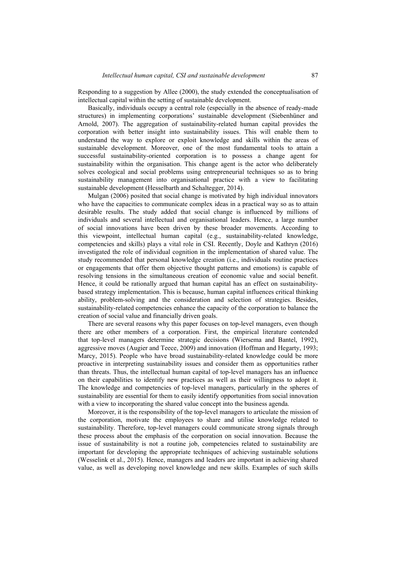Responding to a suggestion by Allee (2000), the study extended the conceptualisation of intellectual capital within the setting of sustainable development.

Basically, individuals occupy a central role (especially in the absence of ready-made structures) in implementing corporations' sustainable development (Siebenhüner and Arnold, 2007). The aggregation of sustainability-related human capital provides the corporation with better insight into sustainability issues. This will enable them to understand the way to explore or exploit knowledge and skills within the areas of sustainable development. Moreover, one of the most fundamental tools to attain a successful sustainability-oriented corporation is to possess a change agent for sustainability within the organisation. This change agent is the actor who deliberately solves ecological and social problems using entrepreneurial techniques so as to bring sustainability management into organisational practice with a view to facilitating sustainable development (Hesselbarth and Schaltegger, 2014).

Mulgan (2006) posited that social change is motivated by high individual innovators who have the capacities to communicate complex ideas in a practical way so as to attain desirable results. The study added that social change is influenced by millions of individuals and several intellectual and organisational leaders. Hence, a large number of social innovations have been driven by these broader movements. According to this viewpoint, intellectual human capital (e.g., sustainability-related knowledge, competencies and skills) plays a vital role in CSI. Recently, Doyle and Kathryn (2016) investigated the role of individual cognition in the implementation of shared value. The study recommended that personal knowledge creation (i.e., individuals routine practices or engagements that offer them objective thought patterns and emotions) is capable of resolving tensions in the simultaneous creation of economic value and social benefit. Hence, it could be rationally argued that human capital has an effect on sustainabilitybased strategy implementation. This is because, human capital influences critical thinking ability, problem-solving and the consideration and selection of strategies. Besides, sustainability-related competencies enhance the capacity of the corporation to balance the creation of social value and financially driven goals.

There are several reasons why this paper focuses on top-level managers, even though there are other members of a corporation. First, the empirical literature contended that top-level managers determine strategic decisions (Wiersema and Bantel, 1992), aggressive moves (Augier and Teece, 2009) and innovation (Hoffman and Hegarty, 1993; Marcy, 2015). People who have broad sustainability-related knowledge could be more proactive in interpreting sustainability issues and consider them as opportunities rather than threats. Thus, the intellectual human capital of top-level managers has an influence on their capabilities to identify new practices as well as their willingness to adopt it. The knowledge and competencies of top-level managers, particularly in the spheres of sustainability are essential for them to easily identify opportunities from social innovation with a view to incorporating the shared value concept into the business agenda.

Moreover, it is the responsibility of the top-level managers to articulate the mission of the corporation, motivate the employees to share and utilise knowledge related to sustainability. Therefore, top-level managers could communicate strong signals through these process about the emphasis of the corporation on social innovation. Because the issue of sustainability is not a routine job, competencies related to sustainability are important for developing the appropriate techniques of achieving sustainable solutions (Wesselink et al., 2015). Hence, managers and leaders are important in achieving shared value, as well as developing novel knowledge and new skills. Examples of such skills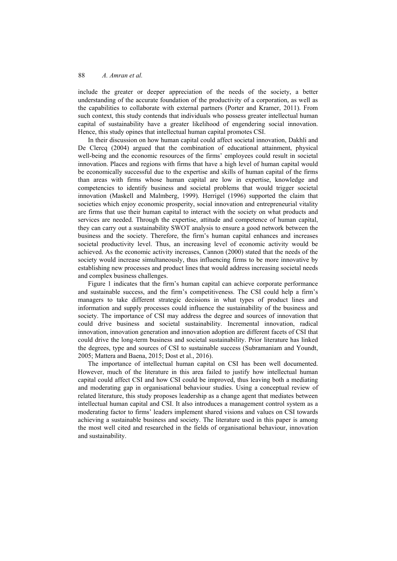include the greater or deeper appreciation of the needs of the society, a better understanding of the accurate foundation of the productivity of a corporation, as well as the capabilities to collaborate with external partners (Porter and Kramer, 2011). From such context, this study contends that individuals who possess greater intellectual human capital of sustainability have a greater likelihood of engendering social innovation. Hence, this study opines that intellectual human capital promotes CSI.

In their discussion on how human capital could affect societal innovation, Dakhli and De Clercq (2004) argued that the combination of educational attainment, physical well-being and the economic resources of the firms' employees could result in societal innovation. Places and regions with firms that have a high level of human capital would be economically successful due to the expertise and skills of human capital of the firms than areas with firms whose human capital are low in expertise, knowledge and competencies to identify business and societal problems that would trigger societal innovation (Maskell and Malmberg, 1999). Herrigel (1996) supported the claim that societies which enjoy economic prosperity, social innovation and entrepreneurial vitality are firms that use their human capital to interact with the society on what products and services are needed. Through the expertise, attitude and competence of human capital, they can carry out a sustainability SWOT analysis to ensure a good network between the business and the society. Therefore, the firm's human capital enhances and increases societal productivity level. Thus, an increasing level of economic activity would be achieved. As the economic activity increases, Cannon (2000) stated that the needs of the society would increase simultaneously, thus influencing firms to be more innovative by establishing new processes and product lines that would address increasing societal needs and complex business challenges.

Figure 1 indicates that the firm's human capital can achieve corporate performance and sustainable success, and the firm's competitiveness. The CSI could help a firm's managers to take different strategic decisions in what types of product lines and information and supply processes could influence the sustainability of the business and society. The importance of CSI may address the degree and sources of innovation that could drive business and societal sustainability. Incremental innovation, radical innovation, innovation generation and innovation adoption are different facets of CSI that could drive the long-term business and societal sustainability. Prior literature has linked the degrees, type and sources of CSI to sustainable success (Subramaniam and Youndt, 2005; Mattera and Baena, 2015; Dost et al., 2016).

The importance of intellectual human capital on CSI has been well documented. However, much of the literature in this area failed to justify how intellectual human capital could affect CSI and how CSI could be improved, thus leaving both a mediating and moderating gap in organisational behaviour studies. Using a conceptual review of related literature, this study proposes leadership as a change agent that mediates between intellectual human capital and CSI. It also introduces a management control system as a moderating factor to firms' leaders implement shared visions and values on CSI towards achieving a sustainable business and society. The literature used in this paper is among the most well cited and researched in the fields of organisational behaviour, innovation and sustainability.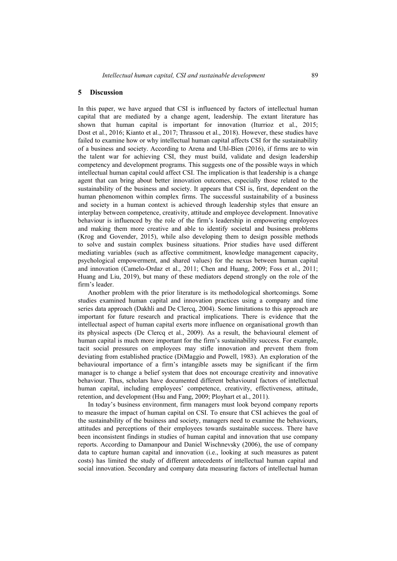## **5 Discussion**

In this paper, we have argued that CSI is influenced by factors of intellectual human capital that are mediated by a change agent, leadership. The extant literature has shown that human capital is important for innovation (Iturrioz et al., 2015; Dost et al., 2016; Kianto et al., 2017; Thrassou et al., 2018). However, these studies have failed to examine how or why intellectual human capital affects CSI for the sustainability of a business and society. According to Arena and Uhl-Bien (2016), if firms are to win the talent war for achieving CSI, they must build, validate and design leadership competency and development programs. This suggests one of the possible ways in which intellectual human capital could affect CSI. The implication is that leadership is a change agent that can bring about better innovation outcomes, especially those related to the sustainability of the business and society. It appears that CSI is, first, dependent on the human phenomenon within complex firms. The successful sustainability of a business and society in a human context is achieved through leadership styles that ensure an interplay between competence, creativity, attitude and employee development. Innovative behaviour is influenced by the role of the firm's leadership in empowering employees and making them more creative and able to identify societal and business problems (Krog and Govender, 2015), while also developing them to design possible methods to solve and sustain complex business situations. Prior studies have used different mediating variables (such as affective commitment, knowledge management capacity, psychological empowerment, and shared values) for the nexus between human capital and innovation (Camelo-Ordaz et al., 2011; Chen and Huang, 2009; Foss et al., 2011; Huang and Liu, 2019), but many of these mediators depend strongly on the role of the firm's leader.

Another problem with the prior literature is its methodological shortcomings. Some studies examined human capital and innovation practices using a company and time series data approach (Dakhli and De Clercq, 2004). Some limitations to this approach are important for future research and practical implications. There is evidence that the intellectual aspect of human capital exerts more influence on organisational growth than its physical aspects (De Clercq et al., 2009). As a result, the behavioural element of human capital is much more important for the firm's sustainability success. For example, tacit social pressures on employees may stifle innovation and prevent them from deviating from established practice (DiMaggio and Powell, 1983). An exploration of the behavioural importance of a firm's intangible assets may be significant if the firm manager is to change a belief system that does not encourage creativity and innovative behaviour. Thus, scholars have documented different behavioural factors of intellectual human capital, including employees' competence, creativity, effectiveness, attitude, retention, and development (Hsu and Fang, 2009; Ployhart et al., 2011).

In today's business environment, firm managers must look beyond company reports to measure the impact of human capital on CSI. To ensure that CSI achieves the goal of the sustainability of the business and society, managers need to examine the behaviours, attitudes and perceptions of their employees towards sustainable success. There have been inconsistent findings in studies of human capital and innovation that use company reports. According to Damanpour and Daniel Wischnevsky (2006), the use of company data to capture human capital and innovation (i.e., looking at such measures as patent costs) has limited the study of different antecedents of intellectual human capital and social innovation. Secondary and company data measuring factors of intellectual human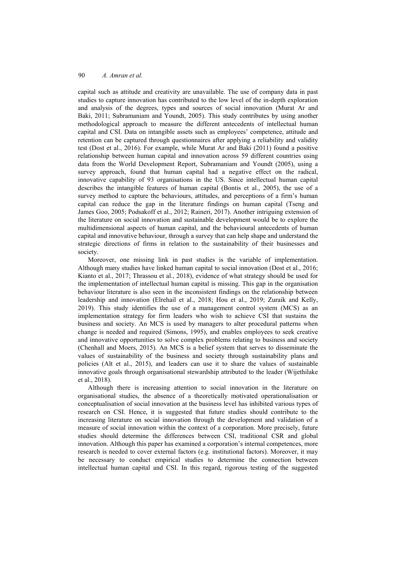capital such as attitude and creativity are unavailable. The use of company data in past studies to capture innovation has contributed to the low level of the in-depth exploration and analysis of the degrees, types and sources of social innovation (Murat Ar and Baki, 2011; Subramaniam and Youndt, 2005). This study contributes by using another methodological approach to measure the different antecedents of intellectual human capital and CSI. Data on intangible assets such as employees' competence, attitude and retention can be captured through questionnaires after applying a reliability and validity test (Dost et al., 2016). For example, while Murat Ar and Baki (2011) found a positive relationship between human capital and innovation across 59 different countries using data from the World Development Report, Subramaniam and Youndt (2005), using a survey approach, found that human capital had a negative effect on the radical, innovative capability of 93 organisations in the US. Since intellectual human capital describes the intangible features of human capital (Bontis et al., 2005), the use of a survey method to capture the behaviours, attitudes, and perceptions of a firm's human capital can reduce the gap in the literature findings on human capital (Tseng and James Goo, 2005; Podsakoff et al., 2012; Raineri, 2017). Another intriguing extension of the literature on social innovation and sustainable development would be to explore the multidimensional aspects of human capital, and the behavioural antecedents of human capital and innovative behaviour, through a survey that can help shape and understand the strategic directions of firms in relation to the sustainability of their businesses and society.

Moreover, one missing link in past studies is the variable of implementation. Although many studies have linked human capital to social innovation (Dost et al., 2016; Kianto et al., 2017; Thrassou et al., 2018), evidence of what strategy should be used for the implementation of intellectual human capital is missing. This gap in the organisation behaviour literature is also seen in the inconsistent findings on the relationship between leadership and innovation (Elrehail et al., 2018; Hou et al., 2019; Zuraik and Kelly, 2019). This study identifies the use of a management control system (MCS) as an implementation strategy for firm leaders who wish to achieve CSI that sustains the business and society. An MCS is used by managers to alter procedural patterns when change is needed and required (Simons, 1995), and enables employees to seek creative and innovative opportunities to solve complex problems relating to business and society (Chenhall and Moers, 2015). An MCS is a belief system that serves to disseminate the values of sustainability of the business and society through sustainability plans and policies (Alt et al., 2015), and leaders can use it to share the values of sustainable innovative goals through organisational stewardship attributed to the leader (Wijethilake et al., 2018).

Although there is increasing attention to social innovation in the literature on organisational studies, the absence of a theoretically motivated operationalisation or conceptualisation of social innovation at the business level has inhibited various types of research on CSI. Hence, it is suggested that future studies should contribute to the increasing literature on social innovation through the development and validation of a measure of social innovation within the context of a corporation. More precisely, future studies should determine the differences between CSI, traditional CSR and global innovation. Although this paper has examined a corporation's internal competences, more research is needed to cover external factors (e.g. institutional factors). Moreover, it may be necessary to conduct empirical studies to determine the connection between intellectual human capital and CSI. In this regard, rigorous testing of the suggested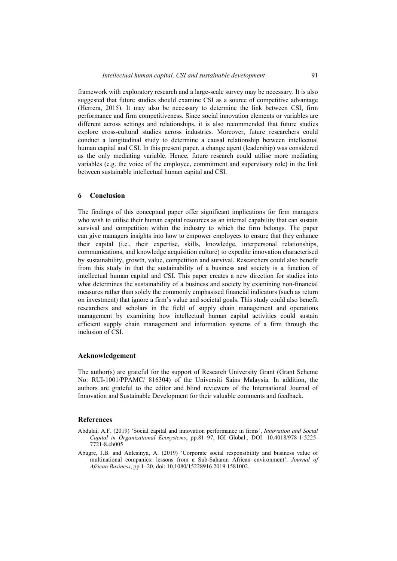framework with exploratory research and a large-scale survey may be necessary. It is also suggested that future studies should examine CSI as a source of competitive advantage (Herrera, 2015). It may also be necessary to determine the link between CSI, firm performance and firm competitiveness. Since social innovation elements or variables are different across settings and relationships, it is also recommended that future studies explore cross-cultural studies across industries. Moreover, future researchers could conduct a longitudinal study to determine a causal relationship between intellectual human capital and CSI. In this present paper, a change agent (leadership) was considered as the only mediating variable. Hence, future research could utilise more mediating variables (e.g. the voice of the employee, commitment and supervisory role) in the link between sustainable intellectual human capital and CSI.

#### **6 Conclusion**

The findings of this conceptual paper offer significant implications for firm managers who wish to utilise their human capital resources as an internal capability that can sustain survival and competition within the industry to which the firm belongs. The paper can give managers insights into how to empower employees to ensure that they enhance their capital (i.e., their expertise, skills, knowledge, interpersonal relationships, communications, and knowledge acquisition culture) to expedite innovation characterised by sustainability, growth, value, competition and survival. Researchers could also benefit from this study in that the sustainability of a business and society is a function of intellectual human capital and CSI. This paper creates a new direction for studies into what determines the sustainability of a business and society by examining non-financial measures rather than solely the commonly emphasised financial indicators (such as return on investment) that ignore a firm's value and societal goals. This study could also benefit researchers and scholars in the field of supply chain management and operations management by examining how intellectual human capital activities could sustain efficient supply chain management and information systems of a firm through the inclusion of CSI.

#### **Acknowledgement**

The author(s) are grateful for the support of Research University Grant (Grant Scheme No: RUI-1001/PPAMC/ 816304) of the Universiti Sains Malaysia. In addition, the authors are grateful to the editor and blind reviewers of the International Journal of Innovation and Sustainable Development for their valuable comments and feedback.

### **References**

- Abdulai, A.F. (2019) 'Social capital and innovation performance in firms', *Innovation and Social Capital in Organizational Ecosystems*, pp.81–97, IGI Global., DOI: 10.4018/978-1-5225- 7721-8.ch005
- Abugre, J.B. and Anlesinya, A. (2019) 'Corporate social responsibility and business value of multinational companies: lessons from a Sub-Saharan African environment', *Journal of African Business*, pp.1–20, doi: 10.1080/15228916.2019.1581002.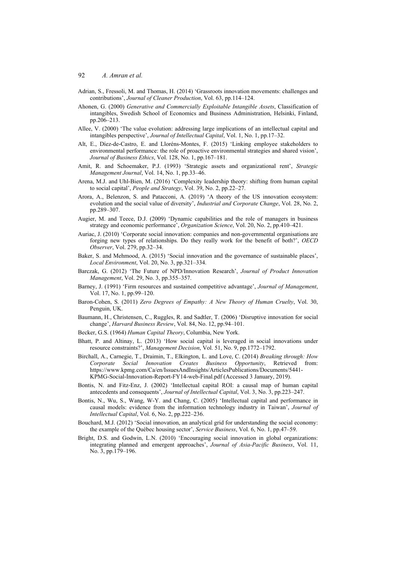- Adrian, S., Fressoli, M. and Thomas, H. (2014) 'Grassroots innovation movements: challenges and contributions', *Journal of Cleaner Production*, Vol. 63, pp.114–124.
- Ahonen, G. (2000) *Generative and Commercially Exploitable Intangible Assets*, Classification of intangibles, Swedish School of Economics and Business Administration, Helsinki, Finland, pp.206–213.
- Allee, V. (2000) 'The value evolution: addressing large implications of an intellectual capital and intangibles perspective', *Journal of Intellectual Capital*, Vol. 1, No. 1, pp.17–32.
- Alt, E., Díez-de-Castro, E. and Lloréns-Montes, F. (2015) 'Linking employee stakeholders to environmental performance: the role of proactive environmental strategies and shared vision', *Journal of Business Ethics*, Vol. 128, No. 1, pp.167–181.
- Amit, R. and Schoemaker, P.J. (1993) 'Strategic assets and organizational rent', *Strategic Management Journal*, Vol. 14, No. 1, pp.33–46.
- Arena, M.J. and Uhl-Bien, M. (2016) 'Complexity leadership theory: shifting from human capital to social capital', *People and Strategy*, Vol. 39, No. 2, pp.22–27.
- Arora, A., Belenzon, S. and Patacconi, A. (2019) 'A theory of the US innovation ecosystem: evolution and the social value of diversity', *Industrial and Corporate Change*, Vol. 28, No. 2, pp.289–307.
- Augier, M. and Teece, D.J. (2009) 'Dynamic capabilities and the role of managers in business strategy and economic performance', *Organization Science*, Vol. 20, No. 2, pp.410–421.
- Auriac, J. (2010) 'Corporate social innovation: companies and non-governmental organisations are forging new types of relationships. Do they really work for the benefit of both?', *OECD Observer*, Vol. 279, pp.32–34.
- Baker, S. and Mehmood, A. (2015) 'Social innovation and the governance of sustainable places', *Local Environment*, Vol. 20, No. 3, pp.321–334.
- Barczak, G. (2012) 'The Future of NPD/Innovation Research', *Journal of Product Innovation Management*, Vol. 29, No. 3, pp.355–357.
- Barney, J. (1991) 'Firm resources and sustained competitive advantage', *Journal of Management*, Vol. 17, No. 1, pp.99–120.
- Baron-Cohen, S. (2011) *Zero Degrees of Empathy: A New Theory of Human Cruelty*, Vol. 30, Penguin, UK.
- Baumann, H., Christensen, C., Ruggles, R. and Sadtler, T. (2006) 'Disruptive innovation for social change', *Harvard Business Review*, Vol. 84, No. 12, pp.94–101.
- Becker, G.S. (1964) *Human Capital Theory*, Columbia, New York.
- Bhatt, P. and Altinay, L. (2013) 'How social capital is leveraged in social innovations under resource constraints?', *Management Decision*, Vol. 51, No. 9, pp.1772–1792.
- Birchall, A., Carnegie, T., Draimin, T., Elkington, L. and Love, C. (2014) *Breaking through: How Corporate Social Innovation Creates Business Opportunity*, Retrieved from: https://www.kpmg.com/Ca/en/IssuesAndInsights/ArticlesPublications/Documents/5441- KPMG-Social-Innovation-Report-FY14-web-Final.pdf (Accessed 3 January, 2019).
- Bontis, N. and Fitz-Enz, J. (2002) 'Intellectual capital ROI: a causal map of human capital antecedents and consequents', *Journal of Intellectual Capital*, Vol. 3, No. 3, pp.223–247.
- Bontis, N., Wu, S., Wang, W-Y. and Chang, C. (2005) 'Intellectual capital and performance in causal models: evidence from the information technology industry in Taiwan', *Journal of Intellectual Capital*, Vol. 6, No. 2, pp.222–236.
- Bouchard, M.J. (2012) 'Social innovation, an analytical grid for understanding the social economy: the example of the Québec housing sector', *Service Business*, Vol. 6, No. 1, pp.47–59.
- Bright, D.S. and Godwin, L.N. (2010) 'Encouraging social innovation in global organizations: integrating planned and emergent approaches', *Journal of Asia-Pacific Business*, Vol. 11, No. 3, pp.179–196.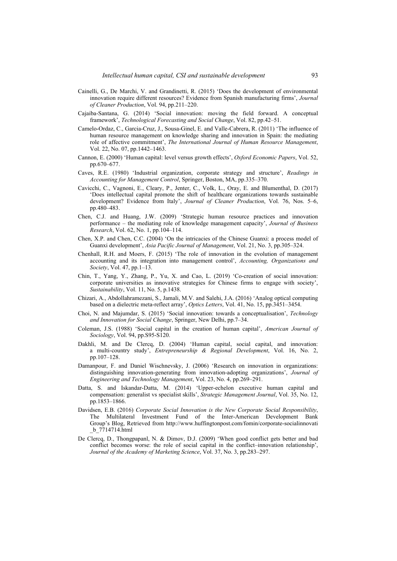- Cainelli, G., De Marchi, V. and Grandinetti, R. (2015) 'Does the development of environmental innovation require different resources? Evidence from Spanish manufacturing firms', *Journal of Cleaner Production*, Vol. 94, pp.211–220.
- Cajaiba-Santana, G. (2014) 'Social innovation: moving the field forward. A conceptual framework', *Technological Forecasting and Social Change*, Vol. 82, pp.42–51.
- Camelo-Ordaz, C., Garcia-Cruz, J., Sousa-Ginel, E. and Valle-Cabrera, R. (2011) 'The influence of human resource management on knowledge sharing and innovation in Spain: the mediating role of affective commitment', *The International Journal of Human Resource Management*, Vol. 22, No. 07, pp.1442–1463.
- Cannon, E. (2000) 'Human capital: level versus growth effects', *Oxford Economic Papers*, Vol. 52, pp.670–677.
- Caves, R.E. (1980) 'Industrial organization, corporate strategy and structure', *Readings in Accounting for Management Control*, Springer, Boston, MA, pp.335–370.
- Cavicchi, C., Vagnoni, E., Cleary, P., Jenter, C., Volk, L., Oray, E. and Blumenthal, D. (2017) 'Does intellectual capital promote the shift of healthcare organizations towards sustainable development? Evidence from Italy', *Journal of Cleaner Production*, Vol. 76, Nos. 5–6, pp.480–483.
- Chen, C.J. and Huang, J.W. (2009) 'Strategic human resource practices and innovation performance – the mediating role of knowledge management capacity', *Journal of Business Research*, Vol. 62, No. 1, pp.104–114.
- Chen, X.P. and Chen, C.C. (2004) 'On the intricacies of the Chinese Guanxi: a process model of Guanxi development', *Asia Pacific Journal of Management*, Vol. 21, No. 3, pp.305–324.
- Chenhall, R.H. and Moers, F. (2015) 'The role of innovation in the evolution of management accounting and its integration into management control', *Accounting, Organizations and Society*, Vol. 47, pp.1–13.
- Chin, T., Yang, Y., Zhang, P., Yu, X. and Cao, L. (2019) 'Co-creation of social innovation: corporate universities as innovative strategies for Chinese firms to engage with society', *Sustainability*, Vol. 11, No. 5, p.1438.
- Chizari, A., Abdollahramezani, S., Jamali, M.V. and Salehi, J.A. (2016) 'Analog optical computing based on a dielectric meta-reflect array', *Optics Letters*, Vol. 41, No. 15, pp.3451–3454.
- Choi, N. and Majumdar, S. (2015) 'Social innovation: towards a conceptualisation', *Technology and Innovation for Social Change*, Springer, New Delhi, pp.7–34.
- Coleman, J.S. (1988) 'Social capital in the creation of human capital', *American Journal of Sociology*, Vol. 94, pp.S95-S120.
- Dakhli, M. and De Clercq, D. (2004) 'Human capital, social capital, and innovation: a multi-country study', *Entrepreneurship & Regional Development*, Vol. 16, No. 2, pp.107–128.
- Damanpour, F. and Daniel Wischnevsky, J. (2006) 'Research on innovation in organizations: distinguishing innovation-generating from innovation-adopting organizations', *Journal of Engineering and Technology Management*, Vol. 23, No. 4, pp.269–291.
- Datta, S. and Iskandar-Datta, M. (2014) 'Upper-echelon executive human capital and compensation: generalist vs specialist skills', *Strategic Management Journal*, Vol. 35, No. 12, pp.1853–1866.
- Davidsen, E.B. (2016) *Corporate Social Innovation is the New Corporate Social Responsibility*, The Multilateral Investment Fund of the Inter-American Development Bank Group's Blog, Retrieved from http://www.huffingtonpost.com/fomin/corporate-socialinnovati \_b\_7714714.html
- De Clercq, D., Thongpapanl, N. & Dimov, D.J. (2009) 'When good conflict gets better and bad conflict becomes worse: the role of social capital in the conflict–innovation relationship', *Journal of the Academy of Marketing Science*, Vol. 37, No. 3, pp.283–297.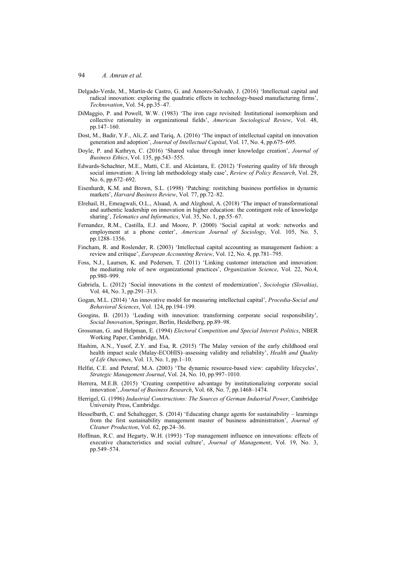- Delgado-Verde, M., Martín-de Castro, G. and Amores-Salvadó, J. (2016) 'Intellectual capital and radical innovation: exploring the quadratic effects in technology-based manufacturing firms', *Technovation*, Vol. 54, pp.35–47.
- DiMaggio, P. and Powell, W.W. (1983) 'The iron cage revisited: Institutional isomorphism and collective rationality in organizational fields', *American Sociological Review*, Vol. 48, pp.147–160.
- Dost, M., Badir, Y.F., Ali, Z. and Tariq, A. (2016) 'The impact of intellectual capital on innovation generation and adoption', *Journal of Intellectual Capital*, Vol. 17, No. 4, pp.675–695.
- Doyle, P. and Kathryn, C. (2016) 'Shared value through inner knowledge creation', *Journal of Business Ethics*, Vol. 135, pp.543–555.
- Edwards-Schachter, M.E., Matti, C.E. and Alcántara, E. (2012) 'Fostering quality of life through social innovation: A living lab methodology study case', *Review of Policy Research*, Vol. 29, No. 6, pp.672–692.
- Eisenhardt, K.M. and Brown, S.L. (1998) 'Patching: restitching business portfolios in dynamic markets', *Harvard Business Review*, Vol. 77, pp.72–82.
- Elrehail, H., Emeagwali, O.L., Alsaad, A. and Alzghoul, A. (2018) 'The impact of transformational and authentic leadership on innovation in higher education: the contingent role of knowledge sharing', *Telematics and Informatics*, Vol. 35, No. 1, pp.55–67.
- Fernandez, R.M., Castilla, E.J. and Moore, P. (2000) 'Social capital at work: networks and employment at a phone center', *American Journal of Sociology*, Vol. 105, No. 5, pp.1288–1356.
- Fincham, R. and Roslender, R. (2003) 'Intellectual capital accounting as management fashion: a review and critique', *European Accounting Review*, Vol. 12, No. 4, pp.781–795.
- Foss, N.J., Laursen, K. and Pedersen, T. (2011) 'Linking customer interaction and innovation: the mediating role of new organizational practices', *Organization Science*, Vol. 22, No.4, pp.980–999.
- Gabriela, L. (2012) 'Social innovations in the context of modernization', *Sociologia (Slovakia)*, Vol. 44, No. 3, pp.291–313.
- Gogan, M.L. (2014) 'An innovative model for measuring intellectual capital', *Procedia-Social and Behavioral Sciences*, Vol. 124, pp.194–199.
- Googins, B. (2013) 'Leading with innovation: transforming corporate social responsibility', *Social Innovation*, Springer, Berlin, Heidelberg, pp.89–98.
- Grossman, G. and Helpman, E. (1994) *Electoral Competition and Special Interest Politics*, NBER Working Paper, Cambridge, MA.
- Hashim, A.N., Yusof, Z.Y. and Esa, R. (2015) 'The Malay version of the early childhood oral health impact scale (Malay-ECOHIS)–assessing validity and reliability', *Health and Quality of Life Outcomes*, Vol. 13, No. 1, pp.1–10.
- Helfat, C.E. and Peteraf, M.A. (2003) 'The dynamic resource-based view: capability lifecycles', *Strategic Management Journal*, Vol. 24, No. 10, pp.997–1010.
- Herrera, M.E.B. (2015) 'Creating competitive advantage by institutionalizing corporate social innovation', *Journal of Business Research*, Vol. 68, No. 7, pp.1468–1474.
- Herrigel, G. (1996) *Industrial Constructions: The Sources of German Industrial Power*, Cambridge University Press, Cambridge.
- Hesselbarth, C. and Schaltegger, S. (2014) 'Educating change agents for sustainability learnings from the first sustainability management master of business administration', *Journal of Cleaner Production*, Vol. 62, pp.24–36.
- Hoffman, R.C. and Hegarty, W.H. (1993) 'Top management influence on innovations: effects of executive characteristics and social culture', *Journal of Management*, Vol. 19, No. 3, pp.549–574.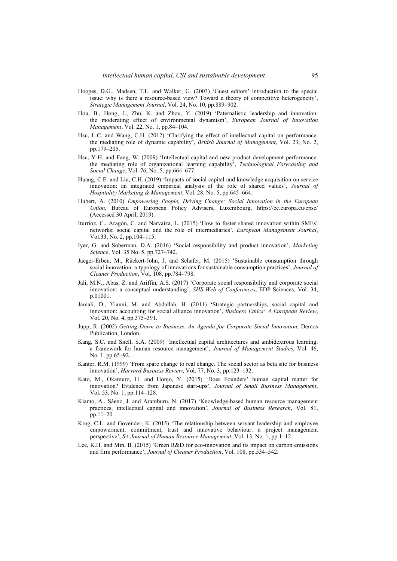- Hoopes, D.G., Madsen, T.L. and Walker, G. (2003) 'Guest editors' introduction to the special issue: why is there a resource-based view? Toward a theory of competitive heterogeneity', *Strategic Management Journal*, Vol. 24, No. 10, pp.889–902.
- Hou, B., Hong, J., Zhu, K. and Zhou, Y. (2019) 'Paternalistic leadership and innovation: the moderating effect of environmental dynamism', *European Journal of Innovation Management*, Vol. 22, No. 1, pp.84–104.
- Hsu, L.C. and Wang, C.H. (2012) 'Clarifying the effect of intellectual capital on performance: the mediating role of dynamic capability', *British Journal of Management*, Vol. 23, No. 2, pp.179–205.
- Hsu, Y-H. and Fang, W. (2009) 'Intellectual capital and new product development performance: the mediating role of organizational learning capability', *Technological Forecasting and Social Change*, Vol. 76, No. 5, pp.664–677.
- Huang, C.E. and Liu, C.H. (2019) 'Impacts of social capital and knowledge acquisition on service innovation: an integrated empirical analysis of the role of shared values', *Journal of Hospitality Marketing & Management*, Vol. 28, No. 5, pp.645–664.
- Hubert, A. (2010) *Empowering People, Driving Change: Social Innovation in the European Union*, Bureau of European Policy Advisers, Luxembourg, https://ec.europa.eu/epsc/ (Accessed 30 April, 2019).
- Iturrioz, C., Aragón, C. and Narvaiza, L. (2015) 'How to foster shared innovation within SMEs' networks: social capital and the role of intermediaries', *European Management Journal*, Vol.33, No. 2, pp.104–115.
- Iyer, G. and Soberman, D.A. (2016) 'Social responsibility and product innovation', *Marketing Science*, Vol. 35 No. 5, pp.727–742.
- Jaeger-Erben, M., Rückert-John, J. and Schafer, M. (2015) 'Sustainable consumption through social innovation: a typology of innovations for sustainable consumption practices', *Journal of Cleaner Production*, Vol. 108, pp.784–798.
- Jali, M.N., Abas, Z. and Ariffin, A.S. (2017) 'Corporate social responsibility and corporate social innovation: a conceptual understanding', *SHS Web of Conferences*, EDP Sciences, Vol. 34, p.01001.
- Jamali, D., Yianni, M. and Abdallah, H. (2011) 'Strategic partnerships, social capital and innovation: accounting for social alliance innovation', *Business Ethics: A European Review*, Vol. 20, No. 4, pp.375–391.
- Jupp, R. (2002) *Getting Down to Business. An Agenda for Corporate Social Innovation*, Demos Publication, London.
- Kang, S.C. and Snell, S.A. (2009) 'Intellectual capital architectures and ambidextrous learning: a framework for human resource management', *Journal of Management Studies*, Vol. 46, No. 1, pp.65–92.
- Kanter, R.M. (1999) 'From spare change to real change. The social sector as beta site for business innovation', *Harvard Business Review*, Vol. 77, No. 3, pp.123–132.
- Kato, M., Okamuro, H. and Honjo, Y. (2015) 'Does Founders' human capital matter for innovation? Evidence from Japanese start-ups', *Journal of Small Business Management*, Vol. 53, No. 1, pp.114–128.
- Kianto, A., Sáenz, J. and Aramburu, N. (2017) 'Knowledge-based human resource management practices, intellectual capital and innovation', *Journal of Business Research*, Vol. 81, pp.11–20.
- Krog, C.L. and Govender, K. (2015) 'The relationship between servant leadership and employee empowerment, commitment, trust and innovative behaviour: a project management perspective', *SA Journal of Human Resource Management*, Vol. 13, No. 1, pp.1–12.
- Lee, K.H. and Min, B. (2015) 'Green R&D for eco-innovation and its impact on carbon emissions and firm performance', *Journal of Cleaner Production*, Vol. 108, pp.534–542.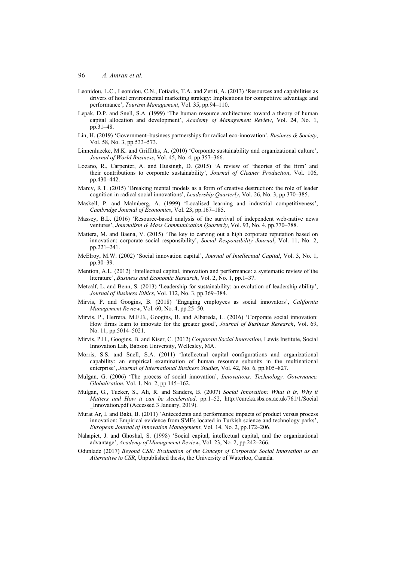- Leonidou, L.C., Leonidou, C.N., Fotiadis, T.A. and Zeriti, A. (2013) 'Resources and capabilities as drivers of hotel environmental marketing strategy: Implications for competitive advantage and performance', *Tourism Management*, Vol. 35, pp.94–110.
- Lepak, D.P. and Snell, S.A. (1999) 'The human resource architecture: toward a theory of human capital allocation and development', *Academy of Management Review*, Vol. 24, No. 1, pp.31–48.
- Lin, H. (2019) 'Government–business partnerships for radical eco-innovation', *Business & Society*, Vol. 58, No. 3, pp.533–573.
- Linnenluecke, M.K. and Griffiths, A. (2010) 'Corporate sustainability and organizational culture', *Journal of World Business*, Vol. 45, No. 4, pp.357–366.
- Lozano, R., Carpenter, A. and Huisingh, D. (2015) 'A review of 'theories of the firm' and their contributions to corporate sustainability', *Journal of Cleaner Production*, Vol. 106, pp.430–442.
- Marcy, R.T. (2015) 'Breaking mental models as a form of creative destruction: the role of leader cognition in radical social innovations', *Leadership Quarterly*, Vol. 26, No. 3, pp.370–385.
- Maskell, P. and Malmberg, A. (1999) 'Localised learning and industrial competitiveness', *Cambridge Journal of Economics*, Vol. 23, pp.167–185.
- Massey, B.L. (2016) 'Resource-based analysis of the survival of independent web-native news ventures', *Journalism & Mass Communication Quarterly*, Vol. 93, No. 4, pp.770–788.
- Mattera, M. and Baena, V. (2015) 'The key to carving out a high corporate reputation based on innovation: corporate social responsibility', *Social Responsibility Journal*, Vol. 11, No. 2, pp.221–241.
- McElroy, M.W. (2002) 'Social innovation capital', *Journal of Intellectual Capital*, Vol. 3, No. 1, pp.30–39.
- Mention, A.L. (2012) 'Intellectual capital, innovation and performance: a systematic review of the literature', *Business and Economic Research*, Vol. 2, No. 1, pp.1–37.
- Metcalf, L. and Benn, S. (2013) 'Leadership for sustainability: an evolution of leadership ability', *Journal of Business Ethics*, Vol. 112, No. 3, pp.369–384.
- Mirvis, P. and Googins, B. (2018) 'Engaging employees as social innovators', *California Management Review*, Vol. 60, No. 4, pp.25–50.
- Mirvis, P., Herrera, M.E.B., Googins, B. and Albareda, L. (2016) 'Corporate social innovation: How firms learn to innovate for the greater good', *Journal of Business Research*, Vol. 69, No. 11, pp.5014–5021.
- Mirvis, P.H., Googins, B. and Kiser, C. (2012) *Corporate Social Innovation*, Lewis Institute, Social Innovation Lab, Babson University, Wellesley, MA.
- Morris, S.S. and Snell, S.A. (2011) 'Intellectual capital configurations and organizational capability: an empirical examination of human resource subunits in the multinational enterprise', *Journal of International Business Studies*, Vol. 42, No. 6, pp.805–827.
- Mulgan, G. (2006) 'The process of social innovation', *Innovations: Technology, Governance, Globalization*, Vol. 1, No. 2, pp.145–162.
- Mulgan, G., Tucker, S., Ali, R. and Sanders, B. (2007) *Social Innovation: What it is, Why it Matters and How it can be Accelerated*, pp.1–52, http://eureka.sbs.ox.ac.uk/761/1/Social \_Innovation.pdf (Accessed 3 January, 2019).
- Murat Ar, I. and Baki, B. (2011) 'Antecedents and performance impacts of product versus process innovation: Empirical evidence from SMEs located in Turkish science and technology parks', *European Journal of Innovation Management*, Vol. 14, No. 2, pp.172–206.
- Nahapiet, J. and Ghoshal, S. (1998) 'Social capital, intellectual capital, and the organizational advantage', *Academy of Management Review*, Vol. 23, No. 2, pp.242–266.
- Odunlade (2017) *Beyond CSR: Evaluation of the Concept of Corporate Social Innovation as an Alternative to CSR*, Unpublished thesis, the University of Waterloo, Canada.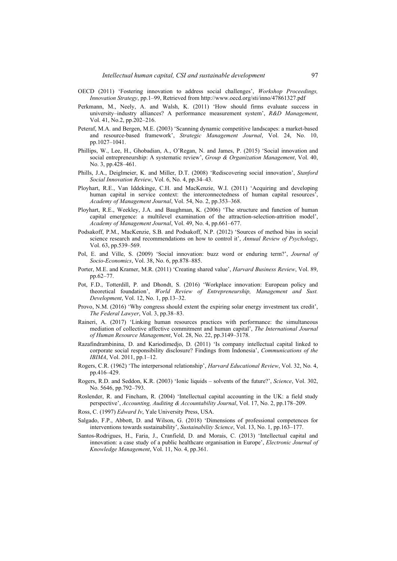- OECD (2011) 'Fostering innovation to address social challenges', *Workshop Proceedings, Innovation Strategy*, pp.1–99, Retrieved from http://www.oecd.org/sti/inno/47861327.pdf
- Perkmann, M., Neely, A. and Walsh, K. (2011) 'How should firms evaluate success in university–industry alliances? A performance measurement system', *R&D Management*, Vol. 41, No.2, pp.202–216.
- Peteraf, M.A. and Bergen, M.E. (2003) 'Scanning dynamic competitive landscapes: a market-based and resource-based framework', *Strategic Management Journal*, Vol. 24, No. 10, pp.1027–1041.
- Phillips, W., Lee, H., Ghobadian, A., O'Regan, N. and James, P. (2015) 'Social innovation and social entrepreneurship: A systematic review', *Group & Organization Management*, Vol. 40, No. 3, pp.428–461.
- Phills, J.A., Deiglmeier, K. and Miller, D.T. (2008) 'Rediscovering social innovation', *Stanford Social Innovation Review*, Vol. 6, No. 4, pp.34–43.
- Ployhart, R.E., Van Iddekinge, C.H. and MacKenzie, W.I. (2011) 'Acquiring and developing human capital in service context: the interconnectedness of human capital resources', *Academy of Management Journal*, Vol. 54, No. 2, pp.353–368.
- Ployhart, R.E., Weekley, J.A. and Baughman, K. (2006) 'The structure and function of human capital emergence: a multilevel examination of the attraction-selection-attrition model', *Academy of Management Journal*, Vol. 49, No. 4, pp.661–677.
- Podsakoff, P.M., MacKenzie, S.B. and Podsakoff, N.P. (2012) 'Sources of method bias in social science research and recommendations on how to control it', *Annual Review of Psychology*, Vol. 63, pp.539–569.
- Pol, E. and Ville, S. (2009) 'Social innovation: buzz word or enduring term?', *Journal of Socio-Economics*, Vol. 38, No. 6, pp.878–885.
- Porter, M.E. and Kramer, M.R. (2011) 'Creating shared value', *Harvard Business Review*, Vol. 89, pp.62–77.
- Pot, F.D., Totterdill, P. and Dhondt, S. (2016) 'Workplace innovation: European policy and theoretical foundation', *World Review of Entrepreneurship, Management and Sust. Development*, Vol. 12, No. 1, pp.13–32.
- Provo, N.M. (2016) 'Why congress should extent the expiring solar energy investment tax credit', *The Federal Lawyer*, Vol. 3, pp.38–83.
- Raineri, A. (2017) 'Linking human resources practices with performance: the simultaneous mediation of collective affective commitment and human capital', *The International Journal of Human Resource Management*, Vol. 28, No. 22, pp.3149–3178.
- Razafindrambinina, D. and Kariodimedjo, D. (2011) 'Is company intellectual capital linked to corporate social responsibility disclosure? Findings from Indonesia', *Communications of the IBIMA*, Vol. 2011, pp.1–12.
- Rogers, C.R. (1962) 'The interpersonal relationship', *Harvard Educational Review*, Vol. 32, No. 4, pp.416–429.
- Rogers, R.D. and Seddon, K.R. (2003) 'Ionic liquids solvents of the future?', *Science*, Vol. 302, No. 5646, pp.792–793.
- Roslender, R. and Fincham, R. (2004) 'Intellectual capital accounting in the UK: a field study perspective', *Accounting, Auditing & Accountability Journal*, Vol. 17, No. 2, pp.178–209.
- Ross, C. (1997) *Edward Iv*, Yale University Press, USA.
- Salgado, F.P., Abbott, D. and Wilson, G. (2018) 'Dimensions of professional competences for interventions towards sustainability', *Sustainability Science*, Vol. 13, No. 1, pp.163–177.
- Santos-Rodrigues, H., Faria, J., Cranfield, D. and Morais, C. (2013) 'Intellectual capital and innovation: a case study of a public healthcare organisation in Europe', *Electronic Journal of Knowledge Management*, Vol. 11, No. 4, pp.361.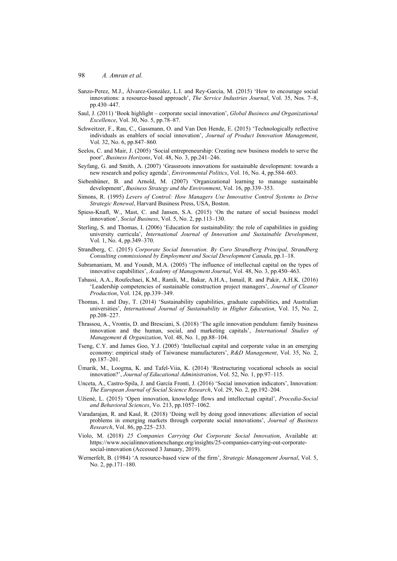- Sanzo-Perez, M.J., Álvarez-González, L.I. and Rey-García, M. (2015) 'How to encourage social innovations: a resource-based approach', *The Service Industries Journal*, Vol. 35, Nos. 7–8, pp.430–447.
- Saul, J. (2011) 'Book highlight corporate social innovation', *Global Business and Organizational Excellence*, Vol. 30, No. 5, pp.78–87.
- Schweitzer, F., Rau, C., Gassmann, O. and Van Den Hende, E. (2015) 'Technologically reflective individuals as enablers of social innovation', *Journal of Product Innovation Management*, Vol. 32, No. 6, pp.847–860.
- Seelos, C. and Mair, J. (2005) 'Social entrepreneurship: Creating new business models to serve the poor', *Business Horizons*, Vol. 48, No. 3, pp.241–246.
- Seyfang, G. and Smith, A. (2007) 'Grassroots innovations for sustainable development: towards a new research and policy agenda', *Environmental Politics*, Vol. 16, No. 4, pp.584–603.
- Siebenhüner, B. and Arnold, M. (2007) 'Organizational learning to manage sustainable development', *Business Strategy and the Environment*, Vol. 16, pp.339–353.
- Simons, R. (1995) *Levers of Control: How Managers Use Innovative Control Systems to Drive Strategic Renewal*, Harvard Business Press, USA, Boston.
- Spiess-Knafl, W., Mast, C. and Jansen, S.A. (2015) 'On the nature of social business model innovation', *Social Business*, Vol. 5, No. 2, pp.113–130.
- Sterling, S. and Thomas, I. (2006) 'Education for sustainability: the role of capabilities in guiding university curricula', *International Journal of Innovation and Sustainable Development*, Vol. 1, No. 4, pp.349–370.
- Strandberg, C. (2015) *Corporate Social Innovation. By Coro Strandberg Principal, Strandberg Consulting commissioned by Employment and Social Development Canada*, pp.1–18.
- Subramaniam, M. and Youndt, M.A. (2005) 'The influence of intellectual capital on the types of innovative capabilities', *Academy of Management Journal*, Vol. 48, No. 3, pp.450–463.
- Tabassi, A.A., Roufechaei, K.M., Ramli, M., Bakar, A.H.A., Ismail, R. and Pakir, A.H.K. (2016) 'Leadership competencies of sustainable construction project managers', *Journal of Cleaner Production*, Vol. 124, pp.339–349.
- Thomas, I. and Day, T. (2014) 'Sustainability capabilities, graduate capabilities, and Australian universities', *International Journal of Sustainability in Higher Education*, Vol. 15, No. 2, pp.208–227.
- Thrassou, A., Vrontis, D. and Bresciani, S. (2018) 'The agile innovation pendulum: family business innovation and the human, social, and marketing capitals', *International Studies of Management & Organization*, Vol. 48, No. 1, pp.88–104.
- Tseng, C.Y. and James Goo, Y.J. (2005) 'Intellectual capital and corporate value in an emerging economy: empirical study of Taiwanese manufacturers', *R&D Management*, Vol. 35, No. 2, pp.187–201.
- Ümarik, M., Loogma, K. and Tafel-Viia, K. (2014) 'Restructuring vocational schools as social innovation?', *Journal of Educational Administration*, Vol. 52, No. 1, pp.97–115.
- Unceta, A., Castro-Spila, J. and García Fronti, J. (2016) 'Social innovation indicators', Innovation: *The European Journal of Social Science Research*, Vol. 29, No. 2, pp.192–204.
- Užienė, L. (2015) 'Open innovation, knowledge flows and intellectual capital', *Procedia-Social and Behavioral Sciences*, Vo. 213, pp.1057–1062.
- Varadarajan, R. and Kaul, R. (2018) 'Doing well by doing good innovations: alleviation of social problems in emerging markets through corporate social innovations', *Journal of Business Research*, Vol. 86, pp.225–233.
- Violo, M. (2018) *25 Companies Carrying Out Corporate Social Innovation*, Available at: https://www.socialinnovationexchange.org/insights/25-companies-carrying-out-corporatesocial-innovation (Accessed 3 January, 2019).
- Wernerfelt, B. (1984) 'A resource-based view of the firm', *Strategic Management Journal*, Vol. 5, No. 2, pp.171–180.